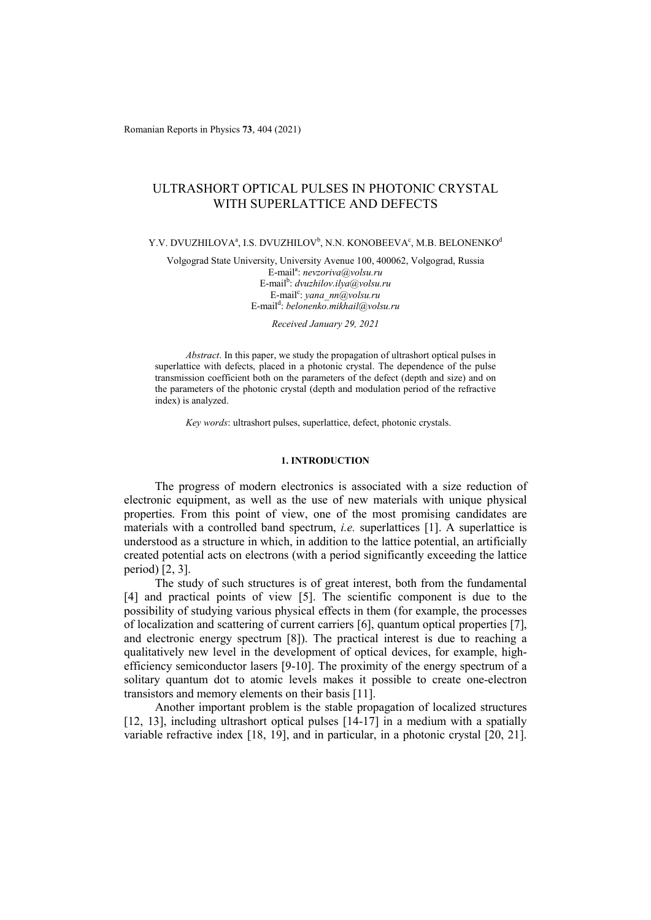Romanian Reports in Physics **73**, 404 (2021)

# ULTRASHORT OPTICAL PULSES IN PHOTONIC CRYSTAL WITH SUPERLATTICE AND DEFECTS

### Y.V. DVUZHILOVA $\text{a}$ , I.S. DVUZHILOV $\text{b}$ , N.N. KONOBEEVA $\text{c}$ , M.B. BELONENKO $\text{d}$

Volgograd State University, University Avenue 100, 400062, Volgograd, Russia E-mail<sup>a</sup> : *nevzoriva@volsu.ru*  E-mail<sup>b</sup>: *dvuzhilov.ilya@volsu.ru* E-mail<sup>c</sup>: yana\_nn@volsu.ru E-mail<sup>d</sup> : *belonenko.mikhail@volsu.ru* 

*Received January 29, 2021* 

*Abstract*. In this paper, we study the propagation of ultrashort optical pulses in superlattice with defects, placed in a photonic crystal. The dependence of the pulse transmission coefficient both on the parameters of the defect (depth and size) and on the parameters of the photonic crystal (depth and modulation period of the refractive index) is analyzed.

*Key words*: ultrashort pulses, superlattice, defect, photonic crystals.

## **1. INTRODUCTION**

The progress of modern electronics is associated with a size reduction of electronic equipment, as well as the use of new materials with unique physical properties. From this point of view, one of the most promising candidates are materials with a controlled band spectrum, *i.e.* superlattices [1]. A superlattice is understood as a structure in which, in addition to the lattice potential, an artificially created potential acts on electrons (with a period significantly exceeding the lattice period) [2, 3].

The study of such structures is of great interest, both from the fundamental [4] and practical points of view [5]. The scientific component is due to the possibility of studying various physical effects in them (for example, the processes of localization and scattering of current carriers [6], quantum optical properties [7], and electronic energy spectrum [8]). The practical interest is due to reaching a qualitatively new level in the development of optical devices, for example, highefficiency semiconductor lasers [9-10]. The proximity of the energy spectrum of a solitary quantum dot to atomic levels makes it possible to create one-electron transistors and memory elements on their basis [11].

Another important problem is the stable propagation of localized structures [12, 13], including ultrashort optical pulses [14-17] in a medium with a spatially variable refractive index [18, 19], and in particular, in a photonic crystal [20, 21].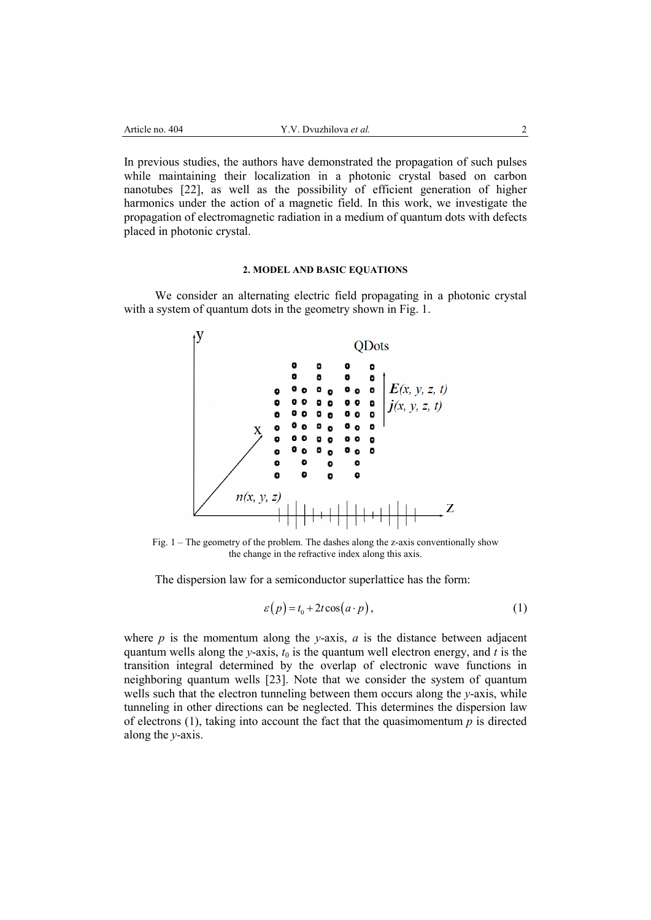In previous studies, the authors have demonstrated the propagation of such pulses while maintaining their localization in a photonic crystal based on carbon nanotubes [22], as well as the possibility of efficient generation of higher harmonics under the action of a magnetic field. In this work, we investigate the propagation of electromagnetic radiation in a medium of quantum dots with defects placed in photonic crystal.

### **2. MODEL AND BASIC EQUATIONS**

We consider an alternating electric field propagating in a photonic crystal with a system of quantum dots in the geometry shown in Fig. 1.



Fig. 1 – The geometry of the problem. The dashes along the z-axis conventionally show the change in the refractive index along this axis.

The dispersion law for a semiconductor superlattice has the form:

$$
\varepsilon(p) = t_0 + 2t \cos(a \cdot p), \tag{1}
$$

where  $p$  is the momentum along the *y*-axis,  $a$  is the distance between adjacent quantum wells along the *y*-axis,  $t_0$  is the quantum well electron energy, and *t* is the transition integral determined by the overlap of electronic wave functions in neighboring quantum wells [23]. Note that we consider the system of quantum wells such that the electron tunneling between them occurs along the *y*-axis, while tunneling in other directions can be neglected. This determines the dispersion law of electrons (1), taking into account the fact that the quasimomentum *p* is directed along the *y*-axis.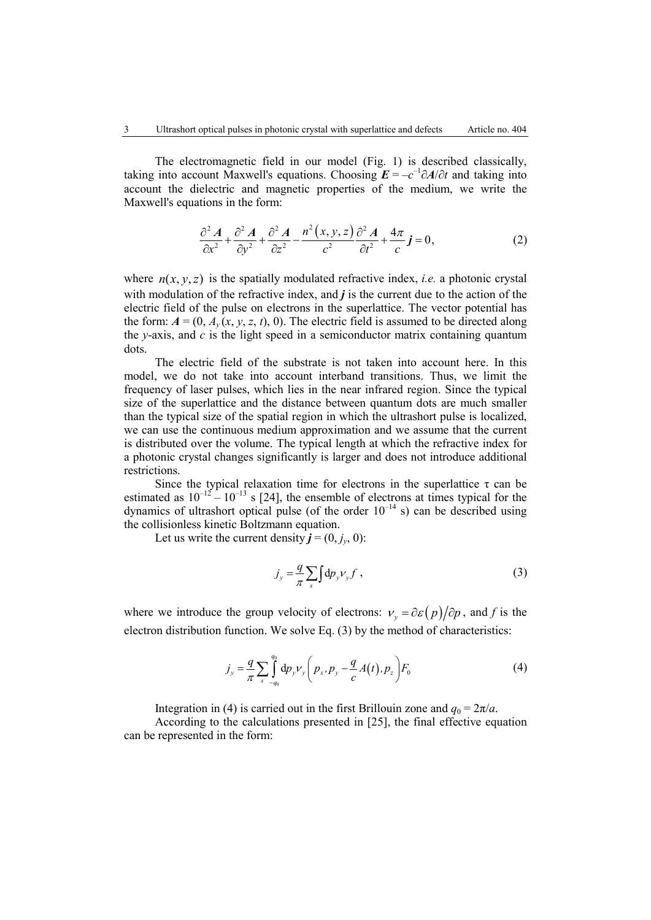The electromagnetic field in our model (Fig. 1) is described classically, taking into account Maxwell's equations. Choosing  $E = -c^{-1}\partial A/\partial t$  and taking into account the dielectric and magnetic properties of the medium, we write the Maxwell's equations in the form:

$$
\frac{\partial^2 A}{\partial x^2} + \frac{\partial^2 A}{\partial y^2} + \frac{\partial^2 A}{\partial z^2} - \frac{n^2 (x, y, z)}{c^2} \frac{\partial^2 A}{\partial t^2} + \frac{4\pi}{c} j = 0,
$$
 (2)

where  $n(x, y, z)$  is the spatially modulated refractive index, *i.e.* a photonic crystal with modulation of the refractive index, and  $j$  is the current due to the action of the electric field of the pulse on electrons in the superlattice. The vector potential has the form:  $A = (0, A_y(x, y, z, t), 0)$ . The electric field is assumed to be directed along the *y*-axis, and *c* is the light speed in a semiconductor matrix containing quantum dots.

The electric field of the substrate is not taken into account here. In this model, we do not take into account interband transitions. Thus, we limit the frequency of laser pulses, which lies in the near infrared region. Since the typical size of the superlattice and the distance between quantum dots are much smaller than the typical size of the spatial region in which the ultrashort pulse is localized, we can use the continuous medium approximation and we assume that the current is distributed over the volume. The typical length at which the refractive index for a photonic crystal changes significantly is larger and does not introduce additional restrictions.

Since the typical relaxation time for electrons in the superlattice  $\tau$  can be estimated as  $10^{-12} - 10^{-13}$  s [24], the ensemble of electrons at times typical for the dynamics of ultrashort optical pulse (of the order  $10^{-14}$  s) can be described using the collisionless kinetic Boltzmann equation.

Let us write the current density  $j = (0, j_y, 0)$ :

$$
j_y = \frac{q}{\pi} \sum_{s} \int dp_y V_y f \tag{3}
$$

where we introduce the group velocity of electrons:  $v_y = \partial \mathcal{E}(p)/\partial p$ , and *f* is the electron distribution function. We solve Eq. (3) by the method of characteristics:

$$
j_{y} = \frac{q}{\pi} \sum_{s} \int_{-q_{0}}^{q_{0}} dp_{y} \nu_{y} \left( p_{x}, p_{y} - \frac{q}{c} A(t), p_{z} \right) F_{0}
$$
(4)

Integration in (4) is carried out in the first Brillouin zone and  $q_0 = 2\pi/a$ .

According to the calculations presented in [25], the final effective equation can be represented in the form: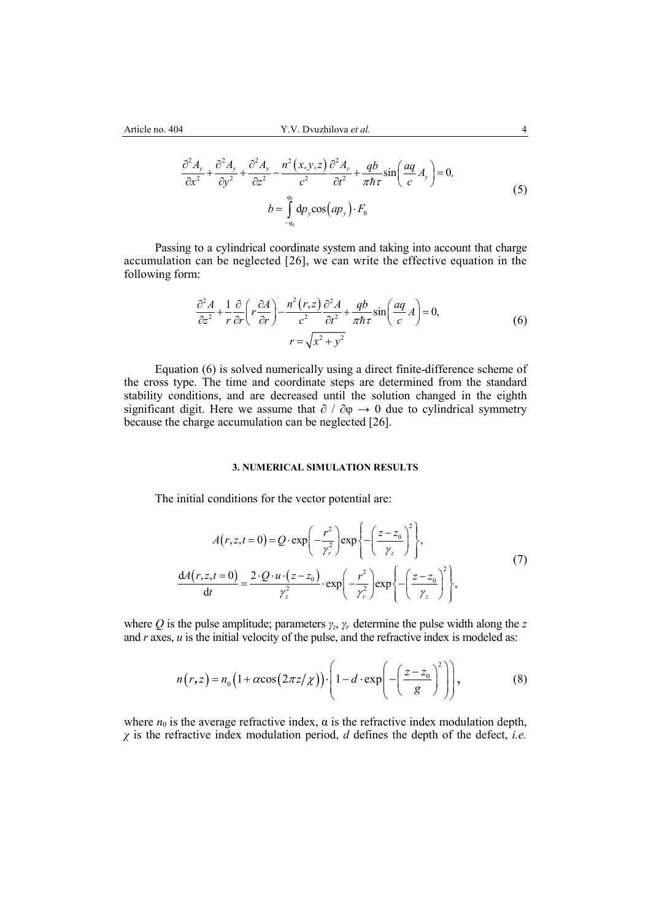$$
\frac{\partial^2 A_y}{\partial x^2} + \frac{\partial^2 A_y}{\partial y^2} + \frac{\partial^2 A_y}{\partial z^2} - \frac{n^2 (x, y, z)}{c^2} \frac{\partial^2 A_y}{\partial t^2} + \frac{qb}{\pi \hbar \tau} \sin\left(\frac{aq}{c} A_y\right) = 0,
$$
  
\n
$$
b = \int_{-q_0}^{q_0} dp_y \cos\left(ap_y\right) \cdot F_0
$$
\n(5)

Passing to a cylindrical coordinate system and taking into account that charge accumulation can be neglected [26], we can write the effective equation in the following form:

$$
\frac{\partial^2 A}{\partial z^2} + \frac{1}{r} \frac{\partial}{\partial r} \left( r \frac{\partial A}{\partial r} \right) - \frac{n^2 (r, z)}{c^2} \frac{\partial^2 A}{\partial t^2} + \frac{qb}{\pi \hbar \tau} \sin \left( \frac{aq}{c} A \right) = 0,
$$
  

$$
r = \sqrt{x^2 + y^2}
$$
 (6)

Equation (6) is solved numerically using a direct finite-difference scheme of the cross type. The time and coordinate steps are determined from the standard stability conditions, and are decreased until the solution changed in the eighth significant digit. Here we assume that  $\partial / \partial \varphi \rightarrow 0$  due to cylindrical symmetry because the charge accumulation can be neglected [26].

## **3. NUMERICAL SIMULATION RESULTS**

The initial conditions for the vector potential are:

$$
A(r, z, t = 0) = Q \cdot \exp\left(-\frac{r^2}{\gamma_r^2}\right) \exp\left\{-\left(\frac{z - z_0}{\gamma_z}\right)^2\right\},\
$$

$$
\frac{dA(r, z, t = 0)}{dt} = \frac{2 \cdot Q \cdot u \cdot (z - z_0)}{\gamma_z^2} \cdot \exp\left(-\frac{r^2}{\gamma_r^2}\right) \exp\left\{-\left(\frac{z - z_0}{\gamma_z}\right)^2\right\},\
$$
(7)

where *Q* is the pulse amplitude; parameters  $\gamma_z$ ,  $\gamma_r$  determine the pulse width along the *z* and  $r$  axes,  $u$  is the initial velocity of the pulse, and the refractive index is modeled as:

$$
n(r,z) = n_0 \left(1 + \alpha \cos\left(2\pi z / \chi\right)\right) \cdot \left(1 - d \cdot \exp\left(-\left(\frac{z - z_0}{g}\right)^2\right)\right),\tag{8}
$$

where  $n_0$  is the average refractive index,  $\alpha$  is the refractive index modulation depth, *χ* is the refractive index modulation period, *d* defines the depth of the defect, *i.e.*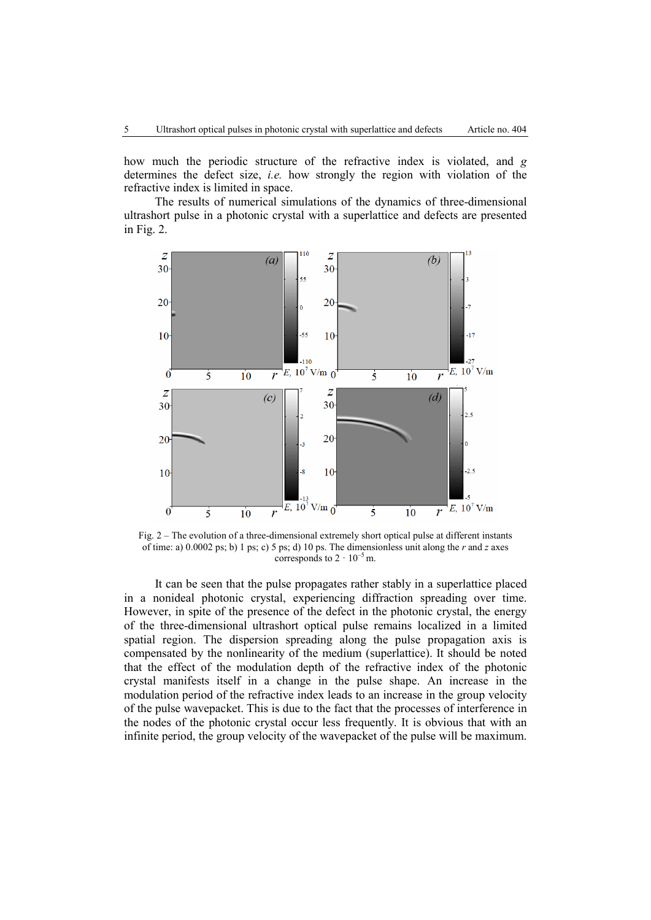how much the periodic structure of the refractive index is violated, and *g* determines the defect size, *i.e.* how strongly the region with violation of the refractive index is limited in space.

The results of numerical simulations of the dynamics of three-dimensional ultrashort pulse in a photonic crystal with a superlattice and defects are presented in Fig. 2.



Fig. 2 – The evolution of a three-dimensional extremely short optical pulse at different instants of time: a) 0.0002 ps; b) 1 ps; c) 5 ps; d) 10 ps. The dimensionless unit along the *r* and *z* axes corresponds to  $2 \cdot 10^{-5}$  m.

It can be seen that the pulse propagates rather stably in a superlattice placed in a nonideal photonic crystal, experiencing diffraction spreading over time. However, in spite of the presence of the defect in the photonic crystal, the energy of the three-dimensional ultrashort optical pulse remains localized in a limited spatial region. The dispersion spreading along the pulse propagation axis is compensated by the nonlinearity of the medium (superlattice). It should be noted that the effect of the modulation depth of the refractive index of the photonic crystal manifests itself in a change in the pulse shape. An increase in the modulation period of the refractive index leads to an increase in the group velocity of the pulse wavepacket. This is due to the fact that the processes of interference in the nodes of the photonic crystal occur less frequently. It is obvious that with an infinite period, the group velocity of the wavepacket of the pulse will be maximum.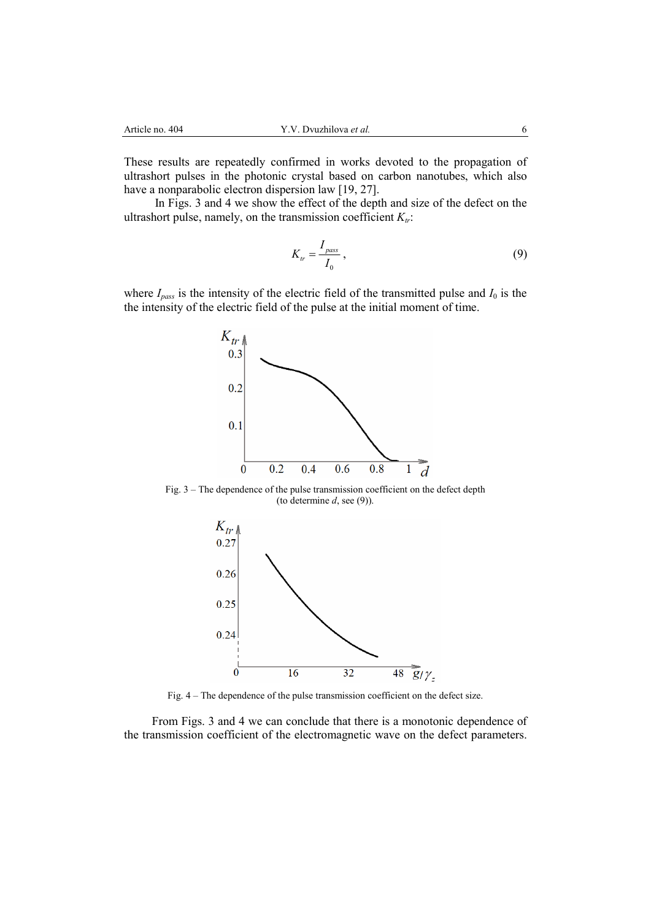These results are repeatedly confirmed in works devoted to the propagation of ultrashort pulses in the photonic crystal based on carbon nanotubes, which also have a nonparabolic electron dispersion law [19, 27].

In Figs. 3 and 4 we show the effect of the depth and size of the defect on the ultrashort pulse, namely, on the transmission coefficient  $K_{tr}$ :

$$
K_{tr} = \frac{I_{pass}}{I_0},\tag{9}
$$

where  $I_{pass}$  is the intensity of the electric field of the transmitted pulse and  $I_0$  is the the intensity of the electric field of the pulse at the initial moment of time.



Fig. 3 – The dependence of the pulse transmission coefficient on the defect depth (to determine *d*, see (9)).



Fig. 4 – The dependence of the pulse transmission coefficient on the defect size.

From Figs. 3 and 4 we can conclude that there is a monotonic dependence of the transmission coefficient of the electromagnetic wave on the defect parameters.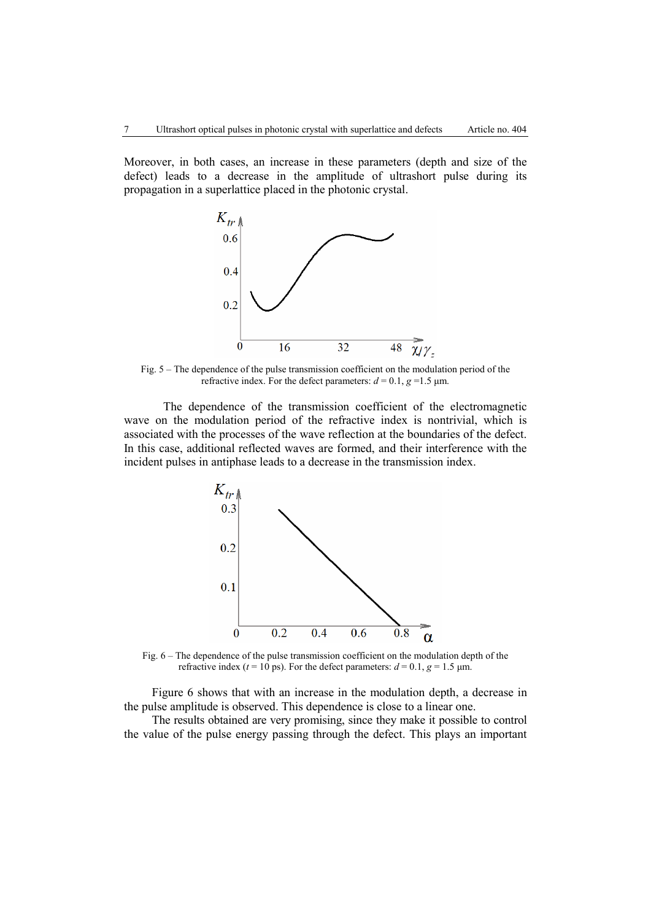Moreover, in both cases, an increase in these parameters (depth and size of the defect) leads to a decrease in the amplitude of ultrashort pulse during its propagation in a superlattice placed in the photonic crystal.



Fig. 5 – The dependence of the pulse transmission coefficient on the modulation period of the refractive index. For the defect parameters:  $d = 0.1$ ,  $g = 1.5$   $\mu$ m.

 The dependence of the transmission coefficient of the electromagnetic wave on the modulation period of the refractive index is nontrivial, which is associated with the processes of the wave reflection at the boundaries of the defect. In this case, additional reflected waves are formed, and their interference with the incident pulses in antiphase leads to a decrease in the transmission index.



Fig. 6 – The dependence of the pulse transmission coefficient on the modulation depth of the refractive index ( $t = 10$  ps). For the defect parameters:  $d = 0.1$ ,  $g = 1.5$   $\mu$ m.

Figure 6 shows that with an increase in the modulation depth, a decrease in the pulse amplitude is observed. This dependence is close to a linear one.

The results obtained are very promising, since they make it possible to control the value of the pulse energy passing through the defect. This plays an important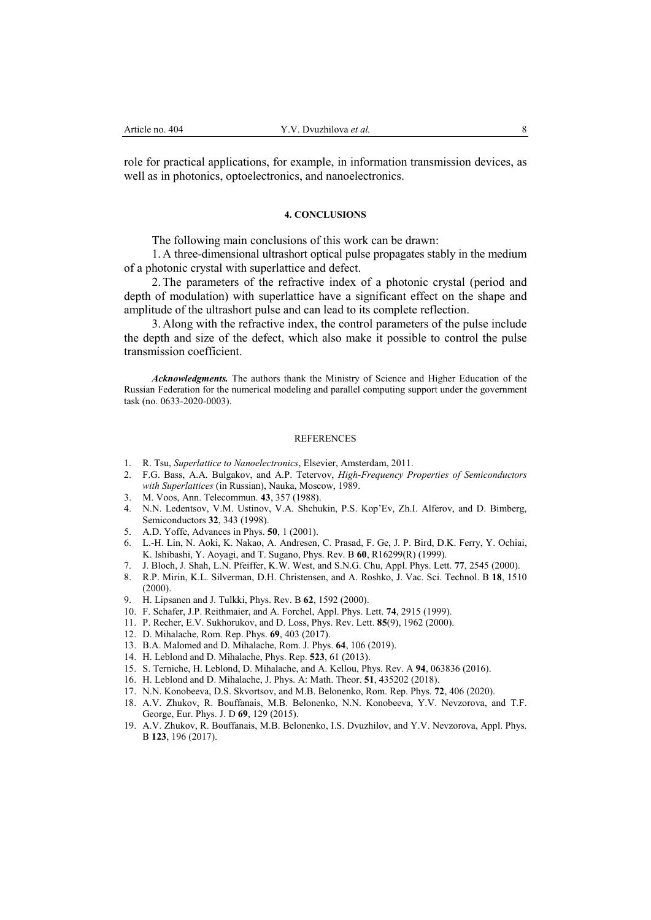role for practical applications, for example, in information transmission devices, as well as in photonics, optoelectronics, and nanoelectronics.

#### **4. CONCLUSIONS**

The following main conclusions of this work can be drawn:

1.A three-dimensional ultrashort optical pulse propagates stably in the medium of a photonic crystal with superlattice and defect.

2.The parameters of the refractive index of a photonic crystal (period and depth of modulation) with superlattice have a significant effect on the shape and amplitude of the ultrashort pulse and can lead to its complete reflection.

3.Along with the refractive index, the control parameters of the pulse include the depth and size of the defect, which also make it possible to control the pulse transmission coefficient.

*Acknowledgments.* The authors thank the Ministry of Science and Higher Education of the Russian Federation for the numerical modeling and parallel computing support under the government task (no. 0633-2020-0003).

#### **REFERENCES**

- 1. R. Tsu, *Superlattice to Nanoelectronics*, Elsevier, Amsterdam, 2011.
- 2. F.G. Bass, A.A. Bulgakov, and A.P. Tetervov, *High-Frequency Properties of Semiconductors with Superlattices* (in Russian), Nauka, Moscow, 1989.
- 3. M. Voos, Ann. Telecommun. **43**, 357 (1988).
- 4. N.N. Ledentsov, V.M. Ustinov, V.A. Shchukin, P.S. Kop'Ev, Zh.I. Alferov, and D. Bimberg, Semiconductors **32**, 343 (1998).
- 5. A.D. Yoffe, Advances in Phys. **50**, 1 (2001).
- 6. L.-H. Lin, N. Aoki, K. Nakao, A. Andresen, C. Prasad, F. Ge, J. P. Bird, D.K. Ferry, Y. Ochiai, K. Ishibashi, Y. Aoyagi, and T. Sugano, Phys. Rev. B **60**, R16299(R) (1999).
- 7. J. Bloch, J. Shah, L.N. Pfeiffer, K.W. West, and S.N.G. Chu, Appl. Phys. Lett. **77**, 2545 (2000).
- 8. R.P. Mirin, K.L. Silverman, D.H. Christensen, and A. Roshko, J. Vac. Sci. Technol. В **18**, 1510 (2000).
- 9. H. Lipsanen and J. Tulkki, Phys. Rev. В **62**, 1592 (2000).
- 10. F. Schafer, J.P. Reithmaier, and A. Forchel, Appl. Phys. Lett. **74**, 2915 (1999).
- 11. P. Recher, E.V. Sukhorukov, and D. Loss, Phys. Rev. Lett. **85**(9), 1962 (2000).
- 12. D. Mihalache, Rom. Rep. Phys. **69**, 403 (2017).
- 13. B.A. Malomed and D. Mihalache, Rom. J. Phys. **64**, 106 (2019).
- 14. H. Leblond and D. Mihalache, Phys. Rep. **523**, 61 (2013).
- 15. S. Terniche, H. Leblond, D. Mihalache, and A. Kellou, Phys. Rev. A **94**, 063836 (2016).
- 16. H. Leblond and D. Mihalache, J. Phys. A: Math. Theor. **51**, 435202 (2018).
- 17. N.N. Konobeeva, D.S. Skvortsov, and M.B. Belonenko, Rom. Rep. Phys. **72**, 406 (2020).
- 18. A.V. Zhukov, R. Bouffanais, M.B. Belonenko, N.N. Konobeeva, Y.V. Nevzorova, and T.F. George, Eur. Phys. J. D **69**, 129 (2015).
- 19. A.V. Zhukov, R. Bouffanais, M.B. Belonenko, I.S. Dvuzhilov, and Y.V. Nevzorova, Appl. Phys. B **123**, 196 (2017).